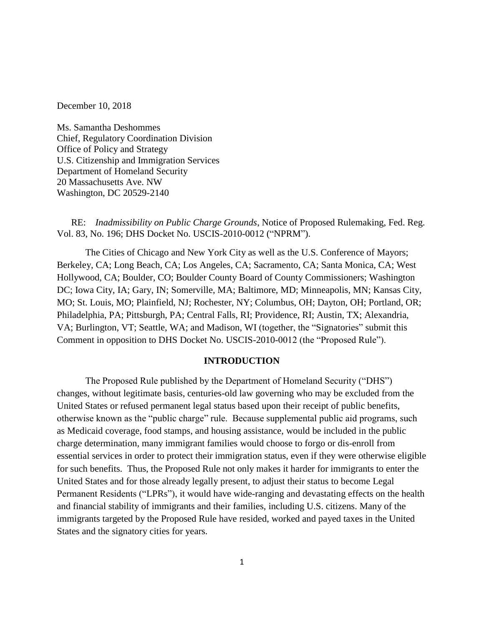December 10, 2018

Ms. Samantha Deshommes Chief, Regulatory Coordination Division Office of Policy and Strategy U.S. Citizenship and Immigration Services Department of Homeland Security 20 Massachusetts Ave. NW Washington, DC 20529-2140

RE: *Inadmissibility on Public Charge Grounds*, Notice of Proposed Rulemaking, Fed. Reg. Vol. 83, No. 196; DHS Docket No. USCIS-2010-0012 ("NPRM").

The Cities of Chicago and New York City as well as the U.S. Conference of Mayors; Berkeley, CA; Long Beach, CA; Los Angeles, CA; Sacramento, CA; Santa Monica, CA; West Hollywood, CA; Boulder, CO; Boulder County Board of County Commissioners; Washington DC; Iowa City, IA; Gary, IN; Somerville, MA; Baltimore, MD; Minneapolis, MN; Kansas City, MO; St. Louis, MO; Plainfield, NJ; Rochester, NY; Columbus, OH; Dayton, OH; Portland, OR; Philadelphia, PA; Pittsburgh, PA; Central Falls, RI; Providence, RI; Austin, TX; Alexandria, VA; Burlington, VT; Seattle, WA; and Madison, WI (together, the "Signatories" submit this Comment in opposition to DHS Docket No. USCIS-2010-0012 (the "Proposed Rule").

#### **INTRODUCTION**

The Proposed Rule published by the Department of Homeland Security ("DHS") changes, without legitimate basis, centuries-old law governing who may be excluded from the United States or refused permanent legal status based upon their receipt of public benefits, otherwise known as the "public charge" rule. Because supplemental public aid programs, such as Medicaid coverage, food stamps, and housing assistance, would be included in the public charge determination, many immigrant families would choose to forgo or dis-enroll from essential services in order to protect their immigration status, even if they were otherwise eligible for such benefits. Thus, the Proposed Rule not only makes it harder for immigrants to enter the United States and for those already legally present, to adjust their status to become Legal Permanent Residents ("LPRs"), it would have wide-ranging and devastating effects on the health and financial stability of immigrants and their families, including U.S. citizens. Many of the immigrants targeted by the Proposed Rule have resided, worked and payed taxes in the United States and the signatory cities for years.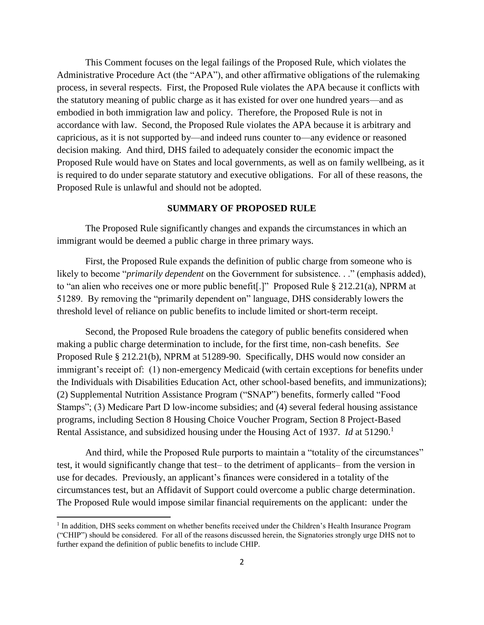This Comment focuses on the legal failings of the Proposed Rule, which violates the Administrative Procedure Act (the "APA"), and other affirmative obligations of the rulemaking process, in several respects. First, the Proposed Rule violates the APA because it conflicts with the statutory meaning of public charge as it has existed for over one hundred years—and as embodied in both immigration law and policy. Therefore, the Proposed Rule is not in accordance with law. Second, the Proposed Rule violates the APA because it is arbitrary and capricious, as it is not supported by—and indeed runs counter to—any evidence or reasoned decision making. And third, DHS failed to adequately consider the economic impact the Proposed Rule would have on States and local governments, as well as on family wellbeing, as it is required to do under separate statutory and executive obligations. For all of these reasons, the Proposed Rule is unlawful and should not be adopted.

#### **SUMMARY OF PROPOSED RULE**

The Proposed Rule significantly changes and expands the circumstances in which an immigrant would be deemed a public charge in three primary ways.

First, the Proposed Rule expands the definition of public charge from someone who is likely to become "*primarily dependent* on the Government for subsistence. . ." (emphasis added), to "an alien who receives one or more public benefit[.]" Proposed Rule § 212.21(a), NPRM at 51289. By removing the "primarily dependent on" language, DHS considerably lowers the threshold level of reliance on public benefits to include limited or short-term receipt.

Second, the Proposed Rule broadens the category of public benefits considered when making a public charge determination to include, for the first time, non-cash benefits. *See* Proposed Rule § 212.21(b), NPRM at 51289-90. Specifically, DHS would now consider an immigrant's receipt of: (1) non-emergency Medicaid (with certain exceptions for benefits under the Individuals with Disabilities Education Act, other school-based benefits, and immunizations); (2) Supplemental Nutrition Assistance Program ("SNAP") benefits, formerly called "Food Stamps"; (3) Medicare Part D low-income subsidies; and (4) several federal housing assistance programs, including Section 8 Housing Choice Voucher Program, Section 8 Project-Based Rental Assistance, and subsidized housing under the Housing Act of 1937. *Id* at 51290.<sup>1</sup>

And third, while the Proposed Rule purports to maintain a "totality of the circumstances" test, it would significantly change that test– to the detriment of applicants– from the version in use for decades. Previously, an applicant's finances were considered in a totality of the circumstances test, but an Affidavit of Support could overcome a public charge determination. The Proposed Rule would impose similar financial requirements on the applicant: under the

<sup>&</sup>lt;sup>1</sup> In addition, DHS seeks comment on whether benefits received under the Children's Health Insurance Program ("CHIP") should be considered. For all of the reasons discussed herein, the Signatories strongly urge DHS not to further expand the definition of public benefits to include CHIP.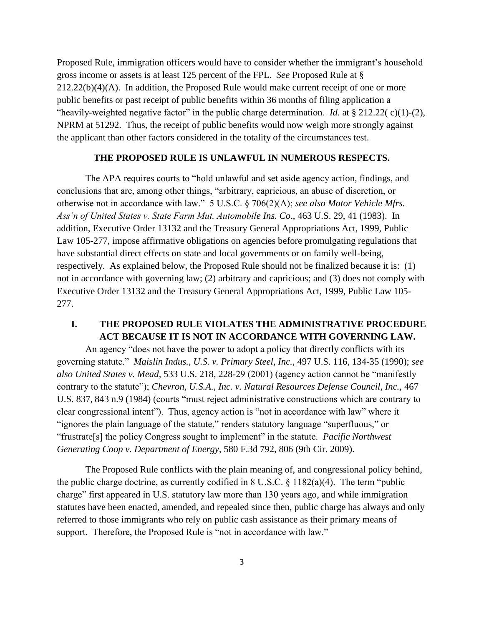Proposed Rule, immigration officers would have to consider whether the immigrant's household gross income or assets is at least 125 percent of the FPL. *See* Proposed Rule at §  $212.22(b)(4)(A)$ . In addition, the Proposed Rule would make current receipt of one or more public benefits or past receipt of public benefits within 36 months of filing application a "heavily-weighted negative factor" in the public charge determination. *Id.* at § 212.22( c)(1)-(2), NPRM at 51292. Thus, the receipt of public benefits would now weigh more strongly against the applicant than other factors considered in the totality of the circumstances test.

#### **THE PROPOSED RULE IS UNLAWFUL IN NUMEROUS RESPECTS.**

The APA requires courts to "hold unlawful and set aside agency action, findings, and conclusions that are, among other things, "arbitrary, capricious, an abuse of discretion, or otherwise not in accordance with law." 5 U.S.C. § 706(2)(A); *see also Motor Vehicle Mfrs. Ass'n of United States v. State Farm Mut. Automobile Ins. Co*., 463 U.S. 29, 41 (1983). In addition, Executive Order 13132 and the Treasury General Appropriations Act, 1999, Public Law 105-277, impose affirmative obligations on agencies before promulgating regulations that have substantial direct effects on state and local governments or on family well-being, respectively. As explained below, the Proposed Rule should not be finalized because it is: (1) not in accordance with governing law; (2) arbitrary and capricious; and (3) does not comply with Executive Order 13132 and the Treasury General Appropriations Act, 1999, Public Law 105- 277.

## **I. THE PROPOSED RULE VIOLATES THE ADMINISTRATIVE PROCEDURE ACT BECAUSE IT IS NOT IN ACCORDANCE WITH GOVERNING LAW.**

An agency "does not have the power to adopt a policy that directly conflicts with its governing statute." *Maislin Indus., U.S. v. Primary Steel, Inc.*, 497 U.S. 116, 134-35 (1990); *see also United States v. Mead*, 533 U.S. 218, 228-29 (2001) (agency action cannot be "manifestly contrary to the statute"); *Chevron, U.S.A., Inc. v. Natural Resources Defense Council, Inc.,* 467 U.S. 837, 843 n.9 (1984) (courts "must reject administrative constructions which are contrary to clear congressional intent"). Thus, agency action is "not in accordance with law" where it "ignores the plain language of the statute," renders statutory language "superfluous," or "frustrate[s] the policy Congress sought to implement" in the statute. *Pacific Northwest Generating Coop v. Department of Energy*, 580 F.3d 792, 806 (9th Cir. 2009).

The Proposed Rule conflicts with the plain meaning of, and congressional policy behind, the public charge doctrine, as currently codified in  $8 \text{ U.S.C.} \$   $1182(a)(4)$ . The term "public charge" first appeared in U.S. statutory law more than 130 years ago, and while immigration statutes have been enacted, amended, and repealed since then, public charge has always and only referred to those immigrants who rely on public cash assistance as their primary means of support. Therefore, the Proposed Rule is "not in accordance with law."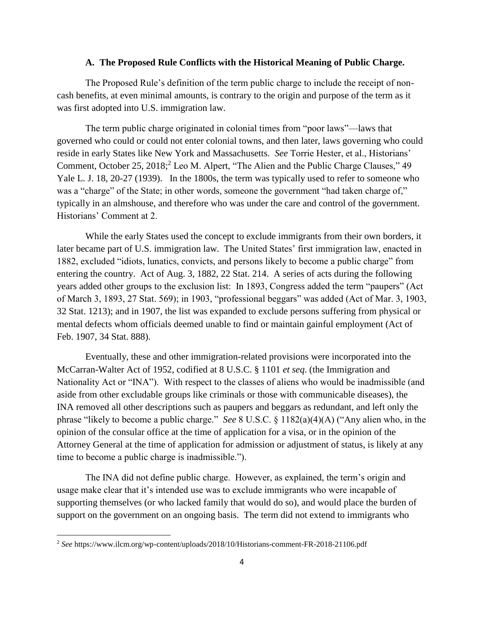#### **A. The Proposed Rule Conflicts with the Historical Meaning of Public Charge.**

The Proposed Rule's definition of the term public charge to include the receipt of noncash benefits, at even minimal amounts, is contrary to the origin and purpose of the term as it was first adopted into U.S. immigration law.

The term public charge originated in colonial times from "poor laws"—laws that governed who could or could not enter colonial towns, and then later, laws governing who could reside in early States like New York and Massachusetts. *See* Torrie Hester, et al., Historians' Comment, October 25, 2018;<sup>2</sup> Leo M. Alpert, "The Alien and the Public Charge Clauses," 49 Yale L. J. 18, 20-27 (1939). In the 1800s, the term was typically used to refer to someone who was a "charge" of the State; in other words, someone the government "had taken charge of," typically in an almshouse, and therefore who was under the care and control of the government. Historians' Comment at 2.

While the early States used the concept to exclude immigrants from their own borders, it later became part of U.S. immigration law. The United States' first immigration law, enacted in 1882, excluded "idiots, lunatics, convicts, and persons likely to become a public charge" from entering the country. Act of Aug. 3, 1882, 22 Stat. 214. A series of acts during the following years added other groups to the exclusion list: In 1893, Congress added the term "paupers" (Act of March 3, 1893, 27 Stat. 569); in 1903, "professional beggars" was added (Act of Mar. 3, 1903, 32 Stat. 1213); and in 1907, the list was expanded to exclude persons suffering from physical or mental defects whom officials deemed unable to find or maintain gainful employment (Act of Feb. 1907, 34 Stat. 888).

Eventually, these and other immigration-related provisions were incorporated into the McCarran-Walter Act of 1952, codified at 8 U.S.C. § 1101 *et seq*. (the Immigration and Nationality Act or "INA"). With respect to the classes of aliens who would be inadmissible (and aside from other excludable groups like criminals or those with communicable diseases), the INA removed all other descriptions such as paupers and beggars as redundant, and left only the phrase "likely to become a public charge." *See* 8 U.S.C. § 1182(a)(4)(A) ("Any alien who, in the opinion of the consular office at the time of application for a visa, or in the opinion of the Attorney General at the time of application for admission or adjustment of status, is likely at any time to become a public charge is inadmissible.").

The INA did not define public charge. However, as explained, the term's origin and usage make clear that it's intended use was to exclude immigrants who were incapable of supporting themselves (or who lacked family that would do so), and would place the burden of support on the government on an ongoing basis. The term did not extend to immigrants who

l

<sup>2</sup> *See* https://www.ilcm.org/wp-content/uploads/2018/10/Historians-comment-FR-2018-21106.pdf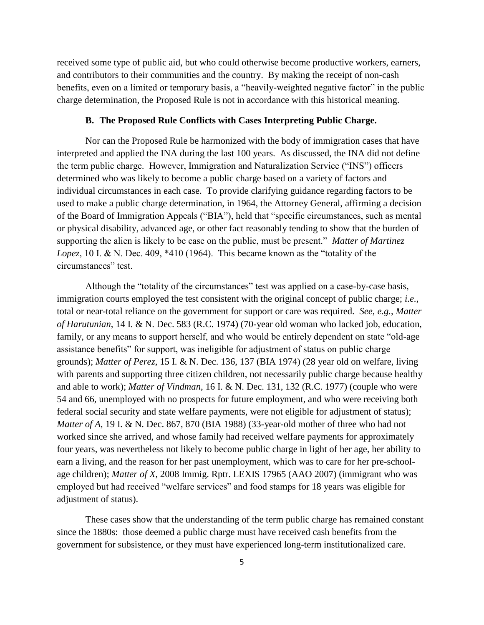received some type of public aid, but who could otherwise become productive workers, earners, and contributors to their communities and the country. By making the receipt of non-cash benefits, even on a limited or temporary basis, a "heavily-weighted negative factor" in the public charge determination, the Proposed Rule is not in accordance with this historical meaning.

#### **B. The Proposed Rule Conflicts with Cases Interpreting Public Charge.**

Nor can the Proposed Rule be harmonized with the body of immigration cases that have interpreted and applied the INA during the last 100 years. As discussed, the INA did not define the term public charge. However, Immigration and Naturalization Service ("INS") officers determined who was likely to become a public charge based on a variety of factors and individual circumstances in each case. To provide clarifying guidance regarding factors to be used to make a public charge determination, in 1964, the Attorney General, affirming a decision of the Board of Immigration Appeals ("BIA"), held that "specific circumstances, such as mental or physical disability, advanced age, or other fact reasonably tending to show that the burden of supporting the alien is likely to be case on the public, must be present." *Matter of Martinez Lopez*, 10 I. & N. Dec. 409, \*410 (1964). This became known as the "totality of the circumstances" test.

Although the "totality of the circumstances" test was applied on a case-by-case basis, immigration courts employed the test consistent with the original concept of public charge; *i.e.*, total or near-total reliance on the government for support or care was required. *See*, *e.g.*, *Matter of Harutunian*, 14 I. & N. Dec. 583 (R.C. 1974) (70-year old woman who lacked job, education, family, or any means to support herself, and who would be entirely dependent on state "old-age assistance benefits" for support, was ineligible for adjustment of status on public charge grounds); *Matter of Perez*, 15 I. & N. Dec. 136, 137 (BIA 1974) (28 year old on welfare, living with parents and supporting three citizen children, not necessarily public charge because healthy and able to work); *Matter of Vindman*, 16 I. & N. Dec. 131, 132 (R.C. 1977) (couple who were 54 and 66, unemployed with no prospects for future employment, and who were receiving both federal social security and state welfare payments, were not eligible for adjustment of status); *Matter of A*, 19 I. & N. Dec. 867, 870 (BIA 1988) (33-year-old mother of three who had not worked since she arrived, and whose family had received welfare payments for approximately four years, was nevertheless not likely to become public charge in light of her age, her ability to earn a living, and the reason for her past unemployment, which was to care for her pre-schoolage children); *Matter of X*, 2008 Immig. Rptr. LEXIS 17965 (AAO 2007) (immigrant who was employed but had received "welfare services" and food stamps for 18 years was eligible for adjustment of status).

These cases show that the understanding of the term public charge has remained constant since the 1880s: those deemed a public charge must have received cash benefits from the government for subsistence, or they must have experienced long-term institutionalized care.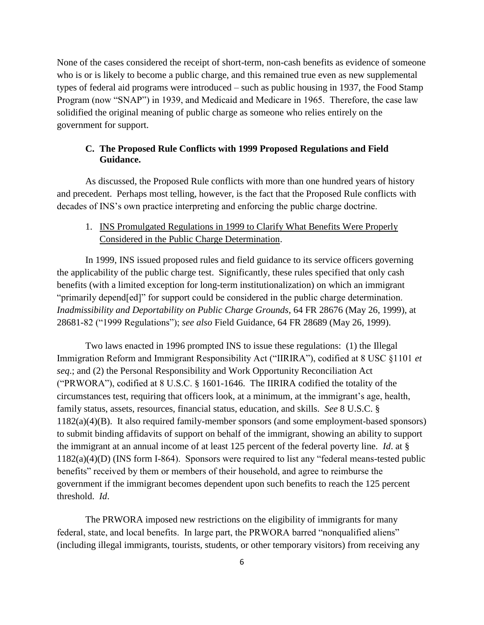None of the cases considered the receipt of short-term, non-cash benefits as evidence of someone who is or is likely to become a public charge, and this remained true even as new supplemental types of federal aid programs were introduced – such as public housing in 1937, the Food Stamp Program (now "SNAP") in 1939, and Medicaid and Medicare in 1965. Therefore, the case law solidified the original meaning of public charge as someone who relies entirely on the government for support.

#### **C. The Proposed Rule Conflicts with 1999 Proposed Regulations and Field Guidance.**

As discussed, the Proposed Rule conflicts with more than one hundred years of history and precedent. Perhaps most telling, however, is the fact that the Proposed Rule conflicts with decades of INS's own practice interpreting and enforcing the public charge doctrine.

## 1. INS Promulgated Regulations in 1999 to Clarify What Benefits Were Properly Considered in the Public Charge Determination.

In 1999, INS issued proposed rules and field guidance to its service officers governing the applicability of the public charge test. Significantly, these rules specified that only cash benefits (with a limited exception for long-term institutionalization) on which an immigrant "primarily depend[ed]" for support could be considered in the public charge determination. *Inadmissibility and Deportability on Public Charge Grounds*, 64 FR 28676 (May 26, 1999), at 28681-82 ("1999 Regulations"); *see also* Field Guidance, 64 FR 28689 (May 26, 1999).

Two laws enacted in 1996 prompted INS to issue these regulations: (1) the Illegal Immigration Reform and Immigrant Responsibility Act ("IIRIRA"), codified at 8 USC §1101 *et seq*.; and (2) the Personal Responsibility and Work Opportunity Reconciliation Act ("PRWORA"), codified at 8 U.S.C. § 1601-1646. The IIRIRA codified the totality of the circumstances test, requiring that officers look, at a minimum, at the immigrant's age, health, family status, assets, resources, financial status, education, and skills. *See* 8 U.S.C. § 1182(a)(4)(B). It also required family-member sponsors (and some employment-based sponsors) to submit binding affidavits of support on behalf of the immigrant, showing an ability to support the immigrant at an annual income of at least 125 percent of the federal poverty line. *Id*. at § 1182(a)(4)(D) (INS form I-864). Sponsors were required to list any "federal means-tested public benefits" received by them or members of their household, and agree to reimburse the government if the immigrant becomes dependent upon such benefits to reach the 125 percent threshold. *Id*.

The PRWORA imposed new restrictions on the eligibility of immigrants for many federal, state, and local benefits. In large part, the PRWORA barred "nonqualified aliens" (including illegal immigrants, tourists, students, or other temporary visitors) from receiving any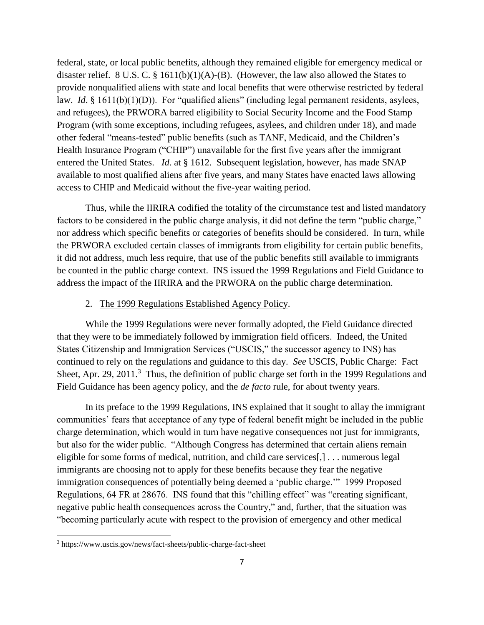federal, state, or local public benefits, although they remained eligible for emergency medical or disaster relief. 8 U.S. C.  $\S$  1611(b)(1)(A)-(B). (However, the law also allowed the States to provide nonqualified aliens with state and local benefits that were otherwise restricted by federal law. *Id.* § 1611(b)(1)(D)). For "qualified aliens" (including legal permanent residents, asylees, and refugees), the PRWORA barred eligibility to Social Security Income and the Food Stamp Program (with some exceptions, including refugees, asylees, and children under 18), and made other federal "means-tested" public benefits (such as TANF, Medicaid, and the Children's Health Insurance Program ("CHIP") unavailable for the first five years after the immigrant entered the United States. *Id*. at § 1612. Subsequent legislation, however, has made SNAP available to most qualified aliens after five years, and many States have enacted laws allowing access to CHIP and Medicaid without the five-year waiting period.

Thus, while the IIRIRA codified the totality of the circumstance test and listed mandatory factors to be considered in the public charge analysis, it did not define the term "public charge," nor address which specific benefits or categories of benefits should be considered. In turn, while the PRWORA excluded certain classes of immigrants from eligibility for certain public benefits, it did not address, much less require, that use of the public benefits still available to immigrants be counted in the public charge context. INS issued the 1999 Regulations and Field Guidance to address the impact of the IIRIRA and the PRWORA on the public charge determination.

#### 2. The 1999 Regulations Established Agency Policy.

While the 1999 Regulations were never formally adopted, the Field Guidance directed that they were to be immediately followed by immigration field officers. Indeed, the United States Citizenship and Immigration Services ("USCIS," the successor agency to INS) has continued to rely on the regulations and guidance to this day. *See* USCIS, Public Charge: Fact Sheet, Apr. 29, 2011.<sup>3</sup> Thus, the definition of public charge set forth in the 1999 Regulations and Field Guidance has been agency policy, and the *de facto* rule, for about twenty years.

In its preface to the 1999 Regulations, INS explained that it sought to allay the immigrant communities' fears that acceptance of any type of federal benefit might be included in the public charge determination, which would in turn have negative consequences not just for immigrants, but also for the wider public. "Although Congress has determined that certain aliens remain eligible for some forms of medical, nutrition, and child care services[,] . . . numerous legal immigrants are choosing not to apply for these benefits because they fear the negative immigration consequences of potentially being deemed a 'public charge.'" 1999 Proposed Regulations, 64 FR at 28676. INS found that this "chilling effect" was "creating significant, negative public health consequences across the Country," and, further, that the situation was "becoming particularly acute with respect to the provision of emergency and other medical

l

<sup>3</sup> https://www.uscis.gov/news/fact-sheets/public-charge-fact-sheet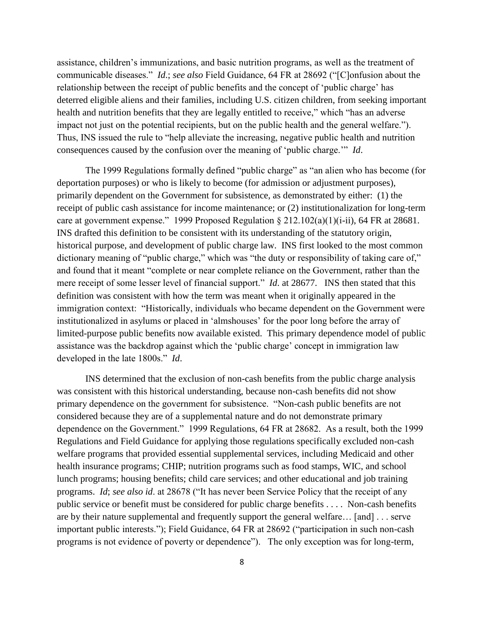assistance, children's immunizations, and basic nutrition programs, as well as the treatment of communicable diseases." *Id*.; *see also* Field Guidance, 64 FR at 28692 ("[C]onfusion about the relationship between the receipt of public benefits and the concept of 'public charge' has deterred eligible aliens and their families, including U.S. citizen children, from seeking important health and nutrition benefits that they are legally entitled to receive," which "has an adverse impact not just on the potential recipients, but on the public health and the general welfare."). Thus, INS issued the rule to "help alleviate the increasing, negative public health and nutrition consequences caused by the confusion over the meaning of 'public charge.'" *Id*.

The 1999 Regulations formally defined "public charge" as "an alien who has become (for deportation purposes) or who is likely to become (for admission or adjustment purposes), primarily dependent on the Government for subsistence, as demonstrated by either: (1) the receipt of public cash assistance for income maintenance; or (2) institutionalization for long-term care at government expense." 1999 Proposed Regulation § 212.102(a)(1)(i-ii), 64 FR at 28681. INS drafted this definition to be consistent with its understanding of the statutory origin, historical purpose, and development of public charge law. INS first looked to the most common dictionary meaning of "public charge," which was "the duty or responsibility of taking care of," and found that it meant "complete or near complete reliance on the Government, rather than the mere receipt of some lesser level of financial support." *Id*. at 28677. INS then stated that this definition was consistent with how the term was meant when it originally appeared in the immigration context: "Historically, individuals who became dependent on the Government were institutionalized in asylums or placed in 'almshouses' for the poor long before the array of limited-purpose public benefits now available existed. This primary dependence model of public assistance was the backdrop against which the 'public charge' concept in immigration law developed in the late 1800s." *Id*.

INS determined that the exclusion of non-cash benefits from the public charge analysis was consistent with this historical understanding, because non-cash benefits did not show primary dependence on the government for subsistence. "Non-cash public benefits are not considered because they are of a supplemental nature and do not demonstrate primary dependence on the Government." 1999 Regulations, 64 FR at 28682. As a result, both the 1999 Regulations and Field Guidance for applying those regulations specifically excluded non-cash welfare programs that provided essential supplemental services, including Medicaid and other health insurance programs; CHIP; nutrition programs such as food stamps, WIC, and school lunch programs; housing benefits; child care services; and other educational and job training programs. *Id*; *see also id*. at 28678 ("It has never been Service Policy that the receipt of any public service or benefit must be considered for public charge benefits . . . . Non-cash benefits are by their nature supplemental and frequently support the general welfare… [and] . . . serve important public interests."); Field Guidance, 64 FR at 28692 ("participation in such non-cash programs is not evidence of poverty or dependence"). The only exception was for long-term,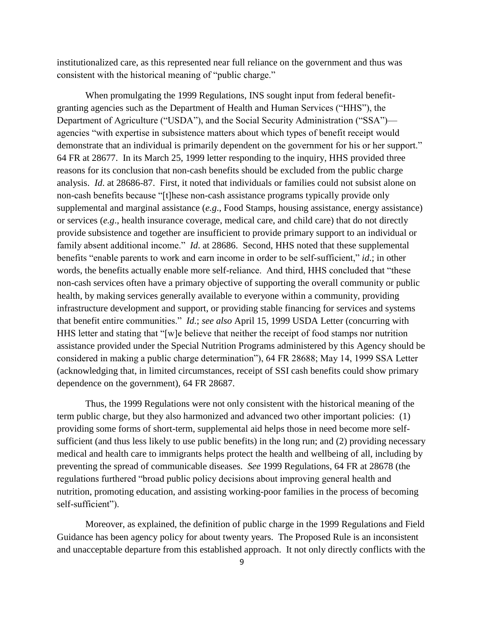institutionalized care, as this represented near full reliance on the government and thus was consistent with the historical meaning of "public charge."

When promulgating the 1999 Regulations, INS sought input from federal benefitgranting agencies such as the Department of Health and Human Services ("HHS"), the Department of Agriculture ("USDA"), and the Social Security Administration ("SSA") agencies "with expertise in subsistence matters about which types of benefit receipt would demonstrate that an individual is primarily dependent on the government for his or her support." 64 FR at 28677. In its March 25, 1999 letter responding to the inquiry, HHS provided three reasons for its conclusion that non-cash benefits should be excluded from the public charge analysis. *Id*. at 28686-87. First, it noted that individuals or families could not subsist alone on non-cash benefits because "[t]hese non-cash assistance programs typically provide only supplemental and marginal assistance (*e.g*., Food Stamps, housing assistance, energy assistance) or services (*e.g*., health insurance coverage, medical care, and child care) that do not directly provide subsistence and together are insufficient to provide primary support to an individual or family absent additional income." *Id*. at 28686. Second, HHS noted that these supplemental benefits "enable parents to work and earn income in order to be self-sufficient," *id*.; in other words, the benefits actually enable more self-reliance. And third, HHS concluded that "these non-cash services often have a primary objective of supporting the overall community or public health, by making services generally available to everyone within a community, providing infrastructure development and support, or providing stable financing for services and systems that benefit entire communities." *Id.*; *see also* April 15, 1999 USDA Letter (concurring with HHS letter and stating that "[w]e believe that neither the receipt of food stamps nor nutrition assistance provided under the Special Nutrition Programs administered by this Agency should be considered in making a public charge determination"), 64 FR 28688; May 14, 1999 SSA Letter (acknowledging that, in limited circumstances, receipt of SSI cash benefits could show primary dependence on the government), 64 FR 28687.

Thus, the 1999 Regulations were not only consistent with the historical meaning of the term public charge, but they also harmonized and advanced two other important policies: (1) providing some forms of short-term, supplemental aid helps those in need become more selfsufficient (and thus less likely to use public benefits) in the long run; and (2) providing necessary medical and health care to immigrants helps protect the health and wellbeing of all, including by preventing the spread of communicable diseases. *See* 1999 Regulations, 64 FR at 28678 (the regulations furthered "broad public policy decisions about improving general health and nutrition, promoting education, and assisting working-poor families in the process of becoming self-sufficient").

Moreover, as explained, the definition of public charge in the 1999 Regulations and Field Guidance has been agency policy for about twenty years. The Proposed Rule is an inconsistent and unacceptable departure from this established approach. It not only directly conflicts with the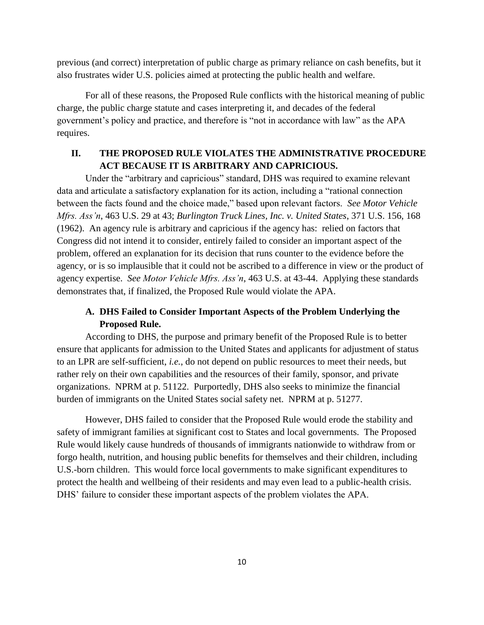previous (and correct) interpretation of public charge as primary reliance on cash benefits, but it also frustrates wider U.S. policies aimed at protecting the public health and welfare.

For all of these reasons, the Proposed Rule conflicts with the historical meaning of public charge, the public charge statute and cases interpreting it, and decades of the federal government's policy and practice, and therefore is "not in accordance with law" as the APA requires.

# **II. THE PROPOSED RULE VIOLATES THE ADMINISTRATIVE PROCEDURE ACT BECAUSE IT IS ARBITRARY AND CAPRICIOUS.**

Under the "arbitrary and capricious" standard, DHS was required to examine relevant data and articulate a satisfactory explanation for its action, including a "rational connection between the facts found and the choice made," based upon relevant factors. *See Motor Vehicle Mfrs. Ass'n*, 463 U.S. 29 at 43; *Burlington Truck Lines, Inc. v. United States*, 371 U.S. 156, 168 (1962). An agency rule is arbitrary and capricious if the agency has: relied on factors that Congress did not intend it to consider, entirely failed to consider an important aspect of the problem, offered an explanation for its decision that runs counter to the evidence before the agency, or is so implausible that it could not be ascribed to a difference in view or the product of agency expertise. *See Motor Vehicle Mfrs. Ass'n*, 463 U.S. at 43-44. Applying these standards demonstrates that, if finalized, the Proposed Rule would violate the APA.

# **A. DHS Failed to Consider Important Aspects of the Problem Underlying the Proposed Rule.**

According to DHS, the purpose and primary benefit of the Proposed Rule is to better ensure that applicants for admission to the United States and applicants for adjustment of status to an LPR are self-sufficient, *i.e.*, do not depend on public resources to meet their needs, but rather rely on their own capabilities and the resources of their family, sponsor, and private organizations. NPRM at p. 51122. Purportedly, DHS also seeks to minimize the financial burden of immigrants on the United States social safety net. NPRM at p. 51277.

However, DHS failed to consider that the Proposed Rule would erode the stability and safety of immigrant families at significant cost to States and local governments. The Proposed Rule would likely cause hundreds of thousands of immigrants nationwide to withdraw from or forgo health, nutrition, and housing public benefits for themselves and their children, including U.S.-born children. This would force local governments to make significant expenditures to protect the health and wellbeing of their residents and may even lead to a public-health crisis. DHS' failure to consider these important aspects of the problem violates the APA.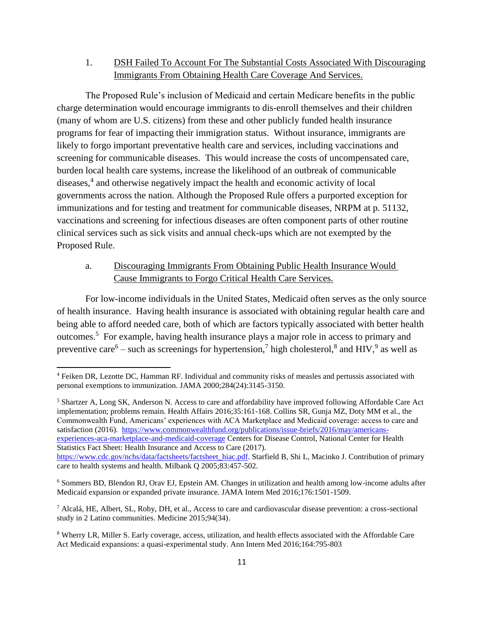## 1. DSH Failed To Account For The Substantial Costs Associated With Discouraging Immigrants From Obtaining Health Care Coverage And Services.

The Proposed Rule's inclusion of Medicaid and certain Medicare benefits in the public charge determination would encourage immigrants to dis-enroll themselves and their children (many of whom are U.S. citizens) from these and other publicly funded health insurance programs for fear of impacting their immigration status. Without insurance, immigrants are likely to forgo important preventative health care and services, including vaccinations and screening for communicable diseases. This would increase the costs of uncompensated care, burden local health care systems, increase the likelihood of an outbreak of communicable diseases,<sup>4</sup> and otherwise negatively impact the health and economic activity of local governments across the nation. Although the Proposed Rule offers a purported exception for immunizations and for testing and treatment for communicable diseases, NRPM at p. 51132, vaccinations and screening for infectious diseases are often component parts of other routine clinical services such as sick visits and annual check-ups which are not exempted by the Proposed Rule.

## a. Discouraging Immigrants From Obtaining Public Health Insurance Would Cause Immigrants to Forgo Critical Health Care Services.

For low-income individuals in the United States, Medicaid often serves as the only source of health insurance. Having health insurance is associated with obtaining regular health care and being able to afford needed care, both of which are factors typically associated with better health outcomes.<sup>5</sup> For example, having health insurance plays a major role in access to primary and preventive care  $-$  such as screenings for hypertension,<sup>7</sup> high cholesterol,<sup>8</sup> and HIV,<sup>9</sup> as well as

 $\overline{\phantom{a}}$ 

<sup>5</sup> Shartzer A, Long SK, Anderson N. Access to care and affordability have improved following Affordable Care Act implementation; problems remain. Health Affairs 2016;35:161-168. Collins SR, Gunja MZ, Doty MM et al., the Commonwealth Fund, Americans' experiences with ACA Marketplace and Medicaid coverage: access to care and satisfaction (2016). [https://www.commonwealthfund.org/publications/issue-briefs/2016/may/americans](https://www.commonwealthfund.org/publications/issue-briefs/2016/may/americans-experiences-aca-marketplace-and-medicaid-coverage)[experiences-aca-marketplace-and-medicaid-coverage](https://www.commonwealthfund.org/publications/issue-briefs/2016/may/americans-experiences-aca-marketplace-and-medicaid-coverage) Centers for Disease Control, National Center for Health Statistics Fact Sheet: Health Insurance and Access to Care (2017). [https://www.cdc.gov/nchs/data/factsheets/factsheet\\_hiac.pdf.](https://www.cdc.gov/nchs/data/factsheets/factsheet_hiac.pdf) Starfield B, Shi L, Macinko J. Contribution of primary care to health systems and health. Milbank Q 2005;83:457-502.

<sup>4</sup> Feiken DR, Lezotte DC, Hamman RF. Individual and community risks of measles and pertussis associated with personal exemptions to immunization. JAMA 2000;284(24):3145-3150.

<sup>6</sup> Sommers BD, Blendon RJ, Orav EJ, Epstein AM. Changes in utilization and health among low-income adults after Medicaid expansion or expanded private insurance. JAMA Intern Med 2016;176:1501-1509.

 $^7$  Alcalá, HE, Albert, SL, Roby, DH, et al., Access to care and cardiovascular disease prevention: a cross-sectional study in 2 Latino communities. Medicine 2015;94(34).

<sup>8</sup> Wherry LR, Miller S. Early coverage, access, utilization, and health effects associated with the Affordable Care Act Medicaid expansions: a quasi-experimental study. Ann Intern Med 2016;164:795-803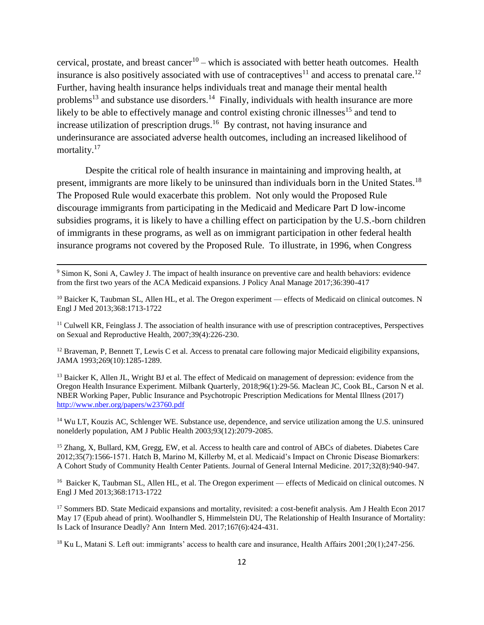cervical, prostate, and breast cancer<sup>10</sup> – which is associated with better heath outcomes. Health insurance is also positively associated with use of contraceptives<sup>11</sup> and access to prenatal care.<sup>12</sup> Further, having health insurance helps individuals treat and manage their mental health problems<sup>13</sup> and substance use disorders.<sup>14</sup> Finally, individuals with health insurance are more likely to be able to effectively manage and control existing chronic illnesses<sup>15</sup> and tend to increase utilization of prescription drugs.<sup>16</sup> By contrast, not having insurance and underinsurance are associated adverse health outcomes, including an increased likelihood of mortality.<sup>17</sup>

Despite the critical role of health insurance in maintaining and improving health, at present, immigrants are more likely to be uninsured than individuals born in the United States.<sup>18</sup> The Proposed Rule would exacerbate this problem. Not only would the Proposed Rule discourage immigrants from participating in the Medicaid and Medicare Part D low-income subsidies programs, it is likely to have a chilling effect on participation by the U.S.-born children of immigrants in these programs, as well as on immigrant participation in other federal health insurance programs not covered by the Proposed Rule. To illustrate, in 1996, when Congress

<sup>9</sup> Simon K, Soni A, Cawley J. The impact of health insurance on preventive care and health behaviors: evidence from the first two years of the ACA Medicaid expansions. J Policy Anal Manage 2017;36:390-417

 $\overline{\phantom{a}}$ 

<sup>10</sup> Baicker K, Taubman SL, Allen HL, et al. The Oregon experiment — effects of Medicaid on clinical outcomes. N Engl J Med 2013;368:1713-1722

 $<sup>11</sup>$  Culwell KR, Feinglass J. The association of health insurance with use of prescription contraceptives, Perspectives</sup> on Sexual and Reproductive Health, 2007;39(4):226-230.

 $12$  Braveman, P, Bennett T, Lewis C et al. Access to prenatal care following major Medicaid eligibility expansions, JAMA 1993;269(10):1285-1289.

<sup>13</sup> Baicker K, Allen JL, Wright BJ et al. The effect of Medicaid on management of depression: evidence from the Oregon Health Insurance Experiment. Milbank Quarterly, 2018;96(1):29-56. Maclean JC, Cook BL, Carson N et al. NBER Working Paper, Public Insurance and Psychotropic Prescription Medications for Mental Illness (2017) <http://www.nber.org/papers/w23760.pdf>

<sup>14</sup> Wu LT, Kouzis AC, Schlenger WE. Substance use, dependence, and service utilization among the U.S. uninsured nonelderly population, AM J Public Health 2003;93(12):2079-2085.

<sup>15</sup> Zhang, X, Bullard, KM, Gregg, EW, et al. Access to health care and control of ABCs of diabetes. Diabetes Care 2012;35(7):1566-1571. Hatch B, Marino M, Killerby M, et al. Medicaid's Impact on Chronic Disease Biomarkers: A Cohort Study of Community Health Center Patients. Journal of General Internal Medicine. 2017;32(8):940-947.

<sup>16</sup> Baicker K, Taubman SL, Allen HL, et al. The Oregon experiment — effects of Medicaid on clinical outcomes. N Engl J Med 2013;368:1713-1722

<sup>17</sup> Sommers BD. State Medicaid expansions and mortality, revisited: a cost-benefit analysis. Am J Health Econ 2017 May 17 (Epub ahead of print). Woolhandler S, Himmelstein DU, The Relationship of Health Insurance of Mortality: Is Lack of Insurance Deadly? Ann Intern Med. 2017;167(6):424-431.

<sup>18</sup> Ku L, Matani S. Left out: immigrants' access to health care and insurance, Health Affairs 2001;20(1);247-256.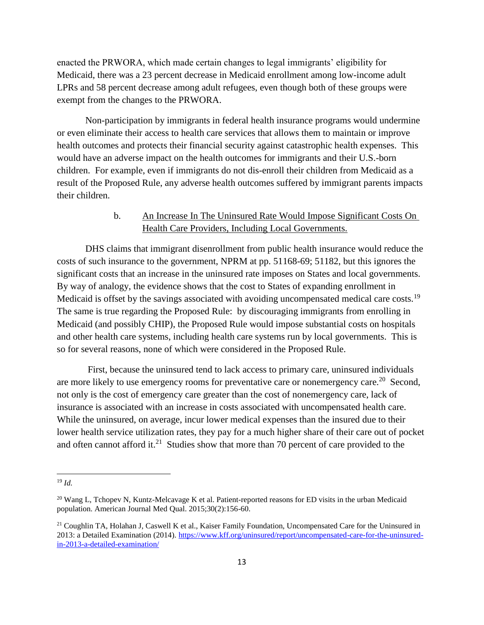enacted the PRWORA, which made certain changes to legal immigrants' eligibility for Medicaid, there was a 23 percent decrease in Medicaid enrollment among low-income adult LPRs and 58 percent decrease among adult refugees, even though both of these groups were exempt from the changes to the PRWORA.

Non-participation by immigrants in federal health insurance programs would undermine or even eliminate their access to health care services that allows them to maintain or improve health outcomes and protects their financial security against catastrophic health expenses. This would have an adverse impact on the health outcomes for immigrants and their U.S.-born children. For example, even if immigrants do not dis-enroll their children from Medicaid as a result of the Proposed Rule, any adverse health outcomes suffered by immigrant parents impacts their children.

### b. An Increase In The Uninsured Rate Would Impose Significant Costs On Health Care Providers, Including Local Governments.

DHS claims that immigrant disenrollment from public health insurance would reduce the costs of such insurance to the government, NPRM at pp. 51168-69; 51182, but this ignores the significant costs that an increase in the uninsured rate imposes on States and local governments. By way of analogy, the evidence shows that the cost to States of expanding enrollment in Medicaid is offset by the savings associated with avoiding uncompensated medical care costs.<sup>19</sup> The same is true regarding the Proposed Rule: by discouraging immigrants from enrolling in Medicaid (and possibly CHIP), the Proposed Rule would impose substantial costs on hospitals and other health care systems, including health care systems run by local governments. This is so for several reasons, none of which were considered in the Proposed Rule.

First, because the uninsured tend to lack access to primary care, uninsured individuals are more likely to use emergency rooms for preventative care or nonemergency care.<sup>20</sup> Second, not only is the cost of emergency care greater than the cost of nonemergency care, lack of insurance is associated with an increase in costs associated with uncompensated health care. While the uninsured, on average, incur lower medical expenses than the insured due to their lower health service utilization rates, they pay for a much higher share of their care out of pocket and often cannot afford it.<sup>21</sup> Studies show that more than 70 percent of care provided to the

<sup>19</sup> *Id.*

<sup>&</sup>lt;sup>20</sup> Wang L, Tchopev N, Kuntz-Melcavage K et al. Patient-reported reasons for ED visits in the urban Medicaid population. American Journal Med Qual. 2015;30(2):156-60.

<sup>&</sup>lt;sup>21</sup> Coughlin TA, Holahan J, Caswell K et al., Kaiser Family Foundation, Uncompensated Care for the Uninsured in 2013: a Detailed Examination (2014). [https://www.kff.org/uninsured/report/uncompensated-care-for-the-uninsured](https://www.kff.org/uninsured/report/uncompensated-care-for-the-uninsured-in-2013-a-detailed-examination/)[in-2013-a-detailed-examination/](https://www.kff.org/uninsured/report/uncompensated-care-for-the-uninsured-in-2013-a-detailed-examination/)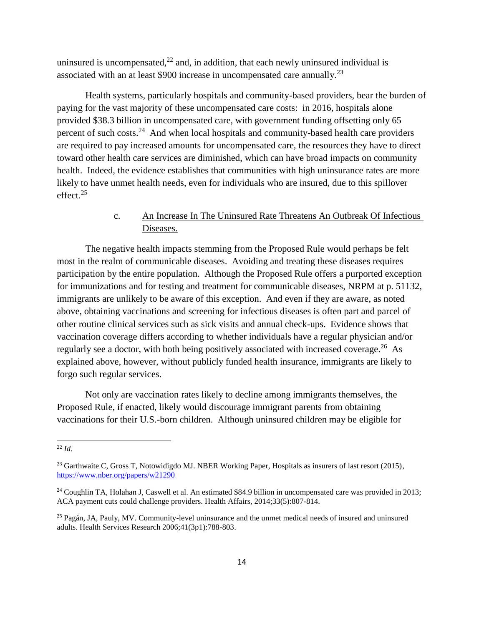uninsured is uncompensated, $^{22}$  and, in addition, that each newly uninsured individual is associated with an at least \$900 increase in uncompensated care annually. $^{23}$ 

Health systems, particularly hospitals and community-based providers, bear the burden of paying for the vast majority of these uncompensated care costs: in 2016, hospitals alone provided \$38.3 billion in uncompensated care, with government funding offsetting only 65 percent of such costs.<sup>24</sup> And when local hospitals and community-based health care providers are required to pay increased amounts for uncompensated care, the resources they have to direct toward other health care services are diminished, which can have broad impacts on community health. Indeed, the evidence establishes that communities with high uninsurance rates are more likely to have unmet health needs, even for individuals who are insured, due to this spillover effect. $25$ 

## c. An Increase In The Uninsured Rate Threatens An Outbreak Of Infectious Diseases.

The negative health impacts stemming from the Proposed Rule would perhaps be felt most in the realm of communicable diseases. Avoiding and treating these diseases requires participation by the entire population. Although the Proposed Rule offers a purported exception for immunizations and for testing and treatment for communicable diseases, NRPM at p. 51132, immigrants are unlikely to be aware of this exception. And even if they are aware, as noted above, obtaining vaccinations and screening for infectious diseases is often part and parcel of other routine clinical services such as sick visits and annual check-ups. Evidence shows that vaccination coverage differs according to whether individuals have a regular physician and/or regularly see a doctor, with both being positively associated with increased coverage.<sup>26</sup> As explained above, however, without publicly funded health insurance, immigrants are likely to forgo such regular services.

Not only are vaccination rates likely to decline among immigrants themselves, the Proposed Rule, if enacted, likely would discourage immigrant parents from obtaining vaccinations for their U.S.-born children. Although uninsured children may be eligible for

<sup>22</sup> *Id.*

<sup>&</sup>lt;sup>23</sup> Garthwaite C, Gross T, Notowidigdo MJ. NBER Working Paper, Hospitals as insurers of last resort (2015), <https://www.nber.org/papers/w21290>

<sup>&</sup>lt;sup>24</sup> Coughlin TA, Holahan J, Caswell et al. An estimated \$84.9 billion in uncompensated care was provided in 2013; ACA payment cuts could challenge providers. Health Affairs, 2014;33(5):807-814.

<sup>&</sup>lt;sup>25</sup> Pagán, JA, Pauly, MV. Community-level uninsurance and the unmet medical needs of insured and uninsured adults. Health Services Research 2006;41(3p1):788-803.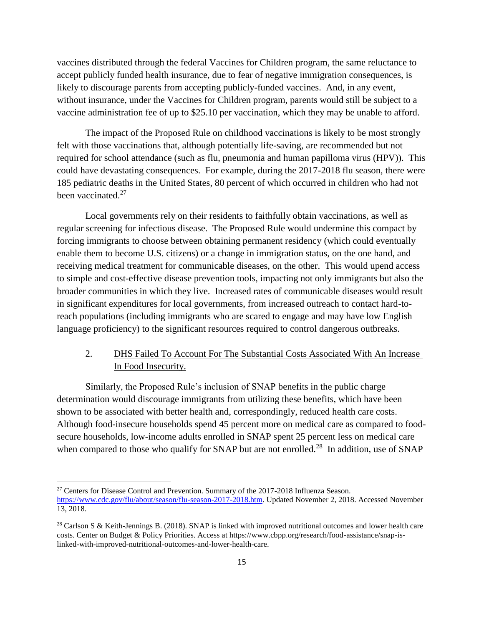vaccines distributed through the federal Vaccines for Children program, the same reluctance to accept publicly funded health insurance, due to fear of negative immigration consequences, is likely to discourage parents from accepting publicly-funded vaccines. And, in any event, without insurance, under the Vaccines for Children program, parents would still be subject to a vaccine administration fee of up to \$25.10 per vaccination, which they may be unable to afford.

The impact of the Proposed Rule on childhood vaccinations is likely to be most strongly felt with those vaccinations that, although potentially life-saving, are recommended but not required for school attendance (such as flu, pneumonia and human papilloma virus (HPV)). This could have devastating consequences. For example, during the 2017-2018 flu season, there were 185 pediatric deaths in the United States, 80 percent of which occurred in children who had not been vaccinated.<sup>27</sup>

Local governments rely on their residents to faithfully obtain vaccinations, as well as regular screening for infectious disease. The Proposed Rule would undermine this compact by forcing immigrants to choose between obtaining permanent residency (which could eventually enable them to become U.S. citizens) or a change in immigration status, on the one hand, and receiving medical treatment for communicable diseases, on the other. This would upend access to simple and cost-effective disease prevention tools, impacting not only immigrants but also the broader communities in which they live. Increased rates of communicable diseases would result in significant expenditures for local governments, from increased outreach to contact hard-toreach populations (including immigrants who are scared to engage and may have low English language proficiency) to the significant resources required to control dangerous outbreaks.

# 2. DHS Failed To Account For The Substantial Costs Associated With An Increase In Food Insecurity.

Similarly, the Proposed Rule's inclusion of SNAP benefits in the public charge determination would discourage immigrants from utilizing these benefits, which have been shown to be associated with better health and, correspondingly, reduced health care costs. Although food-insecure households spend 45 percent more on medical care as compared to foodsecure households, low-income adults enrolled in SNAP spent 25 percent less on medical care when compared to those who qualify for SNAP but are not enrolled.<sup>28</sup> In addition, use of SNAP

 $\overline{a}$ 

<sup>&</sup>lt;sup>27</sup> Centers for Disease Control and Prevention. Summary of the 2017-2018 Influenza Season. [https://www.cdc.gov/flu/about/season/flu-season-2017-2018.htm.](https://www.cdc.gov/flu/about/season/flu-season-2017-2018.htm) Updated November 2, 2018. Accessed November 13, 2018.

<sup>&</sup>lt;sup>28</sup> Carlson S & Keith-Jennings B. (2018). SNAP is linked with improved nutritional outcomes and lower health care costs. Center on Budget & Policy Priorities. Access at https://www.cbpp.org/research/food-assistance/snap-islinked-with-improved-nutritional-outcomes-and-lower-health-care.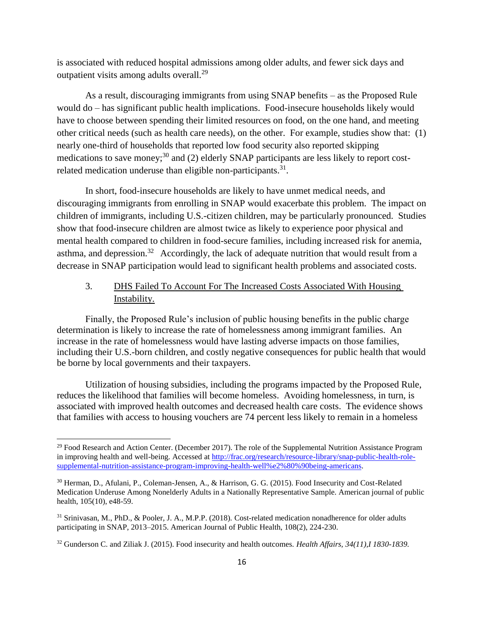is associated with reduced hospital admissions among older adults, and fewer sick days and outpatient visits among adults overall.<sup>29</sup>

As a result, discouraging immigrants from using SNAP benefits – as the Proposed Rule would do – has significant public health implications. Food-insecure households likely would have to choose between spending their limited resources on food, on the one hand, and meeting other critical needs (such as health care needs), on the other. For example, studies show that: (1) nearly one-third of households that reported low food security also reported skipping medications to save money;<sup>30</sup> and (2) elderly SNAP participants are less likely to report costrelated medication underuse than eligible non-participants. $31$ .

In short, food-insecure households are likely to have unmet medical needs, and discouraging immigrants from enrolling in SNAP would exacerbate this problem. The impact on children of immigrants, including U.S.-citizen children, may be particularly pronounced. Studies show that food-insecure children are almost twice as likely to experience poor physical and mental health compared to children in food-secure families, including increased risk for anemia, asthma, and depression.<sup>32</sup> Accordingly, the lack of adequate nutrition that would result from a decrease in SNAP participation would lead to significant health problems and associated costs.

# 3. DHS Failed To Account For The Increased Costs Associated With Housing Instability.

Finally, the Proposed Rule's inclusion of public housing benefits in the public charge determination is likely to increase the rate of homelessness among immigrant families. An increase in the rate of homelessness would have lasting adverse impacts on those families, including their U.S.-born children, and costly negative consequences for public health that would be borne by local governments and their taxpayers.

Utilization of housing subsidies, including the programs impacted by the Proposed Rule, reduces the likelihood that families will become homeless. Avoiding homelessness, in turn, is associated with improved health outcomes and decreased health care costs. The evidence shows that families with access to housing vouchers are 74 percent less likely to remain in a homeless

<sup>&</sup>lt;sup>29</sup> Food Research and Action Center. (December 2017). The role of the Supplemental Nutrition Assistance Program in improving health and well-being. Accessed at [http://frac.org/research/resource-library/snap-public-health-role](http://frac.org/research/resource-library/snap-public-health-role-supplemental-nutrition-assistance-program-improving-health-well%e2%80%90being-americans)[supplemental-nutrition-assistance-program-improving-health-well%e2%80%90being-americans.](http://frac.org/research/resource-library/snap-public-health-role-supplemental-nutrition-assistance-program-improving-health-well%e2%80%90being-americans)

<sup>30</sup> Herman, D., Afulani, P., Coleman-Jensen, A., & Harrison, G. G. (2015). Food Insecurity and Cost-Related Medication Underuse Among Nonelderly Adults in a Nationally Representative Sample. American journal of public health, 105(10), e48-59.

<sup>31</sup> Srinivasan, M., PhD., & Pooler, J. A., M.P.P. (2018). Cost-related medication nonadherence for older adults participating in SNAP, 2013–2015. American Journal of Public Health, 108(2), 224-230.

<sup>32</sup> Gunderson C. and Ziliak J. (2015). Food insecurity and health outcomes. *Health Affairs, 34(11),I 1830-1839.*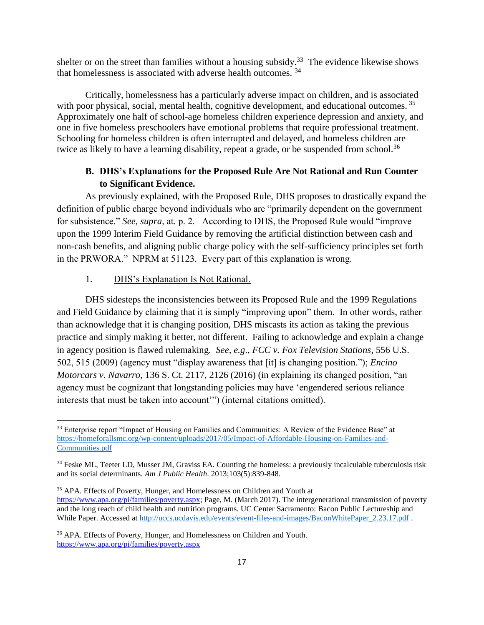shelter or on the street than families without a housing subsidy.<sup>33</sup> The evidence likewise shows that homelessness is associated with adverse health outcomes. <sup>34</sup>

Critically, homelessness has a particularly adverse impact on children, and is associated with poor physical, social, mental health, cognitive development, and educational outcomes.<sup>35</sup> Approximately one half of school-age homeless children experience depression and anxiety, and one in five homeless preschoolers have emotional problems that require professional treatment. Schooling for homeless children is often interrupted and delayed, and homeless children are twice as likely to have a learning disability, repeat a grade, or be suspended from school.<sup>36</sup>

## **B. DHS's Explanations for the Proposed Rule Are Not Rational and Run Counter to Significant Evidence.**

As previously explained, with the Proposed Rule, DHS proposes to drastically expand the definition of public charge beyond individuals who are "primarily dependent on the government for subsistence." *See, supra*, at. p. 2. According to DHS, the Proposed Rule would "improve upon the 1999 Interim Field Guidance by removing the artificial distinction between cash and non-cash benefits, and aligning public charge policy with the self-sufficiency principles set forth in the PRWORA." NPRM at 51123. Every part of this explanation is wrong.

#### 1. DHS's Explanation Is Not Rational.

 $\overline{\phantom{a}}$ 

DHS sidesteps the inconsistencies between its Proposed Rule and the 1999 Regulations and Field Guidance by claiming that it is simply "improving upon" them. In other words, rather than acknowledge that it is changing position, DHS miscasts its action as taking the previous practice and simply making it better, not different. Failing to acknowledge and explain a change in agency position is flawed rulemaking. *See, e.g*., *FCC v. Fox Television Stations*, 556 U.S. 502, 515 (2009) (agency must "display awareness that [it] is changing position."); *Encino Motorcars v. Navarro*, 136 S. Ct. 2117, 2126 (2016) (in explaining its changed position, "an agency must be cognizant that longstanding policies may have 'engendered serious reliance interests that must be taken into account'") (internal citations omitted).

<sup>&</sup>lt;sup>33</sup> Enterprise report "Impact of Housing on Families and Communities: A Review of the Evidence Base" at [https://homeforallsmc.org/wp-content/uploads/2017/05/Impact-of-Affordable-Housing-on-Families-and-](https://homeforallsmc.org/wp-content/uploads/2017/05/Impact-of-Affordable-Housing-on-Families-and-Communities.pdf)[Communities.pdf](https://homeforallsmc.org/wp-content/uploads/2017/05/Impact-of-Affordable-Housing-on-Families-and-Communities.pdf)

<sup>&</sup>lt;sup>34</sup> Feske ML, Teeter LD, Musser JM, Graviss EA. Counting the homeless: a previously incalculable tuberculosis risk and its social determinants. *Am J Public Health*. 2013;103(5):839-848.

<sup>&</sup>lt;sup>35</sup> APA. Effects of Poverty, Hunger, and Homelessness on Children and Youth at [https://www.apa.org/pi/families/poverty.aspx;](https://www.apa.org/pi/families/poverty.aspx) Page, M. (March 2017). The intergenerational transmission of poverty and the long reach of child health and nutrition programs. UC Center Sacramento: Bacon Public Lectureship and While Paper. Accessed a[t http://uccs.ucdavis.edu/events/event-files-and-images/BaconWhitePaper\\_2.23.17.pdf](http://uccs.ucdavis.edu/events/event-files-and-images/BaconWhitePaper_2.23.17.pdf) .

<sup>&</sup>lt;sup>36</sup> APA. Effects of Poverty, Hunger, and Homelessness on Children and Youth. <https://www.apa.org/pi/families/poverty.aspx>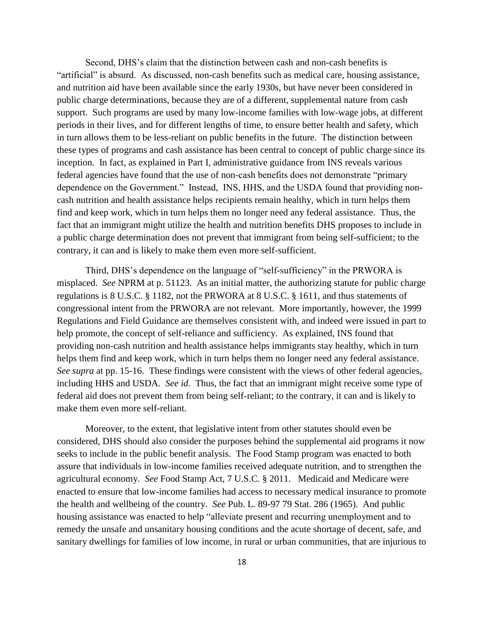Second, DHS's claim that the distinction between cash and non-cash benefits is "artificial" is absurd. As discussed, non-cash benefits such as medical care, housing assistance, and nutrition aid have been available since the early 1930s, but have never been considered in public charge determinations, because they are of a different, supplemental nature from cash support. Such programs are used by many low-income families with low-wage jobs, at different periods in their lives, and for different lengths of time, to ensure better health and safety, which in turn allows them to be less-reliant on public benefits in the future. The distinction between these types of programs and cash assistance has been central to concept of public charge since its inception. In fact, as explained in Part I, administrative guidance from INS reveals various federal agencies have found that the use of non-cash benefits does not demonstrate "primary dependence on the Government." Instead, INS, HHS, and the USDA found that providing noncash nutrition and health assistance helps recipients remain healthy, which in turn helps them find and keep work, which in turn helps them no longer need any federal assistance. Thus, the fact that an immigrant might utilize the health and nutrition benefits DHS proposes to include in a public charge determination does not prevent that immigrant from being self-sufficient; to the contrary, it can and is likely to make them even more self-sufficient.

Third, DHS's dependence on the language of "self-sufficiency" in the PRWORA is misplaced. *See* NPRM at p. 51123. As an initial matter, the authorizing statute for public charge regulations is 8 U.S.C. § 1182, not the PRWORA at 8 U.S.C. § 1611, and thus statements of congressional intent from the PRWORA are not relevant. More importantly, however, the 1999 Regulations and Field Guidance are themselves consistent with, and indeed were issued in part to help promote, the concept of self-reliance and sufficiency. As explained, INS found that providing non-cash nutrition and health assistance helps immigrants stay healthy, which in turn helps them find and keep work, which in turn helps them no longer need any federal assistance. *See supra* at pp. 15-16. These findings were consistent with the views of other federal agencies, including HHS and USDA. *See id.* Thus, the fact that an immigrant might receive some type of federal aid does not prevent them from being self-reliant; to the contrary, it can and is likely to make them even more self-reliant.

Moreover, to the extent, that legislative intent from other statutes should even be considered, DHS should also consider the purposes behind the supplemental aid programs it now seeks to include in the public benefit analysis. The Food Stamp program was enacted to both assure that individuals in low-income families received adequate nutrition, and to strengthen the agricultural economy. *See* Food Stamp Act, 7 U.S.C. § 2011. Medicaid and Medicare were enacted to ensure that low-income families had access to necessary medical insurance to promote the health and wellbeing of the country. *See* Pub. L. 89-97 79 Stat. 286 (1965). And public housing assistance was enacted to help "alleviate present and recurring unemployment and to remedy the unsafe and unsanitary housing conditions and the acute shortage of decent, safe, and sanitary dwellings for families of low income, in rural or urban communities, that are injurious to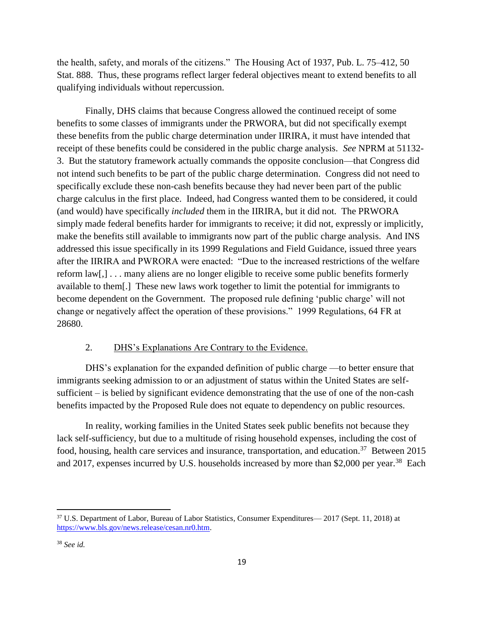the health, safety, and morals of the citizens." The Housing Act of 1937, Pub. L. 75–412, 50 Stat. 888. Thus, these programs reflect larger federal objectives meant to extend benefits to all qualifying individuals without repercussion.

Finally, DHS claims that because Congress allowed the continued receipt of some benefits to some classes of immigrants under the PRWORA, but did not specifically exempt these benefits from the public charge determination under IIRIRA, it must have intended that receipt of these benefits could be considered in the public charge analysis. *See* NPRM at 51132- 3. But the statutory framework actually commands the opposite conclusion—that Congress did not intend such benefits to be part of the public charge determination. Congress did not need to specifically exclude these non-cash benefits because they had never been part of the public charge calculus in the first place. Indeed, had Congress wanted them to be considered, it could (and would) have specifically *included* them in the IIRIRA, but it did not. The PRWORA simply made federal benefits harder for immigrants to receive; it did not, expressly or implicitly, make the benefits still available to immigrants now part of the public charge analysis. And INS addressed this issue specifically in its 1999 Regulations and Field Guidance, issued three years after the IIRIRA and PWRORA were enacted: "Due to the increased restrictions of the welfare reform law[,] . . . many aliens are no longer eligible to receive some public benefits formerly available to them[.] These new laws work together to limit the potential for immigrants to become dependent on the Government. The proposed rule defining 'public charge' will not change or negatively affect the operation of these provisions." 1999 Regulations, 64 FR at 28680.

### 2. DHS's Explanations Are Contrary to the Evidence.

DHS's explanation for the expanded definition of public charge —to better ensure that immigrants seeking admission to or an adjustment of status within the United States are selfsufficient – is belied by significant evidence demonstrating that the use of one of the non-cash benefits impacted by the Proposed Rule does not equate to dependency on public resources.

In reality, working families in the United States seek public benefits not because they lack self-sufficiency, but due to a multitude of rising household expenses, including the cost of food, housing, health care services and insurance, transportation, and education.<sup>37</sup> Between 2015 and 2017, expenses incurred by U.S. households increased by more than \$2,000 per year.<sup>38</sup> Each

<sup>37</sup> U.S. Department of Labor, Bureau of Labor Statistics, Consumer Expenditures— 2017 (Sept. 11, 2018) at [https://www.bls.gov/news.release/cesan.nr0.htm.](https://www.bls.gov/news.release/cesan.nr0.htm)

<sup>38</sup> *See id.*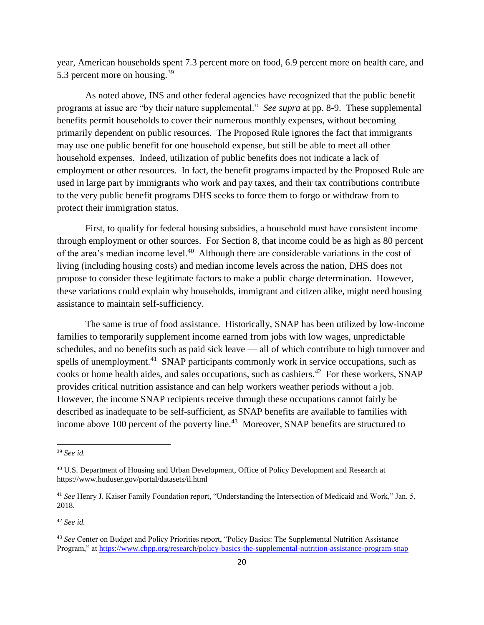year, American households spent 7.3 percent more on food, 6.9 percent more on health care, and 5.3 percent more on housing.<sup>39</sup>

As noted above, INS and other federal agencies have recognized that the public benefit programs at issue are "by their nature supplemental." *See supra* at pp. 8-9. These supplemental benefits permit households to cover their numerous monthly expenses, without becoming primarily dependent on public resources. The Proposed Rule ignores the fact that immigrants may use one public benefit for one household expense, but still be able to meet all other household expenses. Indeed, utilization of public benefits does not indicate a lack of employment or other resources. In fact, the benefit programs impacted by the Proposed Rule are used in large part by immigrants who work and pay taxes, and their tax contributions contribute to the very public benefit programs DHS seeks to force them to forgo or withdraw from to protect their immigration status.

First, to qualify for federal housing subsidies, a household must have consistent income through employment or other sources. For Section 8, that income could be as high as 80 percent of the area's median income level.<sup>40</sup> Although there are considerable variations in the cost of living (including housing costs) and median income levels across the nation, DHS does not propose to consider these legitimate factors to make a public charge determination. However, these variations could explain why households, immigrant and citizen alike, might need housing assistance to maintain self-sufficiency.

The same is true of food assistance. Historically, SNAP has been utilized by low-income families to temporarily supplement income earned from jobs with low wages, unpredictable schedules, and no benefits such as paid sick leave — all of which contribute to high turnover and spells of unemployment.<sup>41</sup> SNAP participants commonly work in service occupations, such as cooks or home health aides, and sales occupations, such as cashiers.<sup>42</sup> For these workers, SNAP provides critical nutrition assistance and can help workers weather periods without a job. However, the income SNAP recipients receive through these occupations cannot fairly be described as inadequate to be self-sufficient, as SNAP benefits are available to families with income above 100 percent of the poverty line.<sup>43</sup> Moreover, SNAP benefits are structured to

l

<sup>39</sup> *See id.*

<sup>40</sup> U.S. Department of Housing and Urban Development, Office of Policy Development and Research at https://www.huduser.gov/portal/datasets/il.html

<sup>41</sup> *See* Henry J. Kaiser Family Foundation report, "Understanding the Intersection of Medicaid and Work," Jan. 5, 2018.

<sup>42</sup> *See id.*

<sup>43</sup> *See* Center on Budget and Policy Priorities report, "Policy Basics: The Supplemental Nutrition Assistance Program," at<https://www.cbpp.org/research/policy-basics-the-supplemental-nutrition-assistance-program-snap>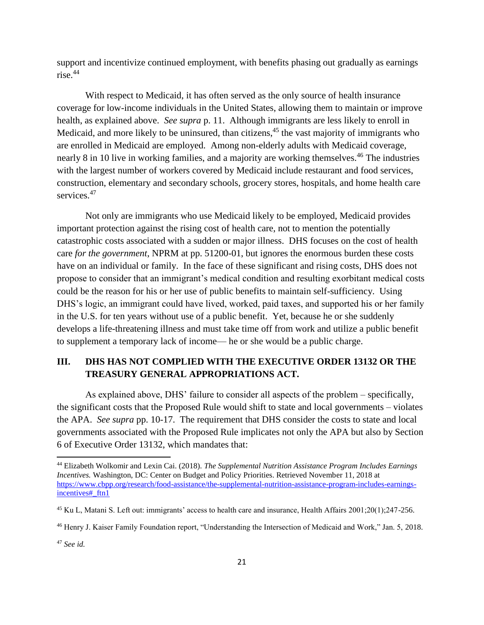support and incentivize continued employment, with benefits phasing out gradually as earnings rise.<sup>44</sup>

With respect to Medicaid, it has often served as the only source of health insurance coverage for low-income individuals in the United States, allowing them to maintain or improve health, as explained above. *See supra* p. 11. Although immigrants are less likely to enroll in Medicaid, and more likely to be uninsured, than citizens,<sup>45</sup> the vast majority of immigrants who are enrolled in Medicaid are employed. Among non-elderly adults with Medicaid coverage, nearly 8 in 10 live in working families, and a majority are working themselves.<sup>46</sup> The industries with the largest number of workers covered by Medicaid include restaurant and food services, construction, elementary and secondary schools, grocery stores, hospitals, and home health care services.<sup>47</sup>

Not only are immigrants who use Medicaid likely to be employed, Medicaid provides important protection against the rising cost of health care, not to mention the potentially catastrophic costs associated with a sudden or major illness. DHS focuses on the cost of health care *for the government*, NPRM at pp. 51200-01, but ignores the enormous burden these costs have on an individual or family. In the face of these significant and rising costs, DHS does not propose to consider that an immigrant's medical condition and resulting exorbitant medical costs could be the reason for his or her use of public benefits to maintain self-sufficiency. Using DHS's logic, an immigrant could have lived, worked, paid taxes, and supported his or her family in the U.S. for ten years without use of a public benefit. Yet, because he or she suddenly develops a life-threatening illness and must take time off from work and utilize a public benefit to supplement a temporary lack of income— he or she would be a public charge.

# **III. DHS HAS NOT COMPLIED WITH THE EXECUTIVE ORDER 13132 OR THE TREASURY GENERAL APPROPRIATIONS ACT.**

As explained above, DHS' failure to consider all aspects of the problem – specifically, the significant costs that the Proposed Rule would shift to state and local governments – violates the APA. *See supra* pp. 10-17. The requirement that DHS consider the costs to state and local governments associated with the Proposed Rule implicates not only the APA but also by Section 6 of Executive Order 13132, which mandates that:

l

<sup>44</sup> Elizabeth Wolkomir and Lexin Cai. (2018). *The Supplemental Nutrition Assistance Program Includes Earnings Incentives.* Washington, DC: Center on Budget and Policy Priorities. Retrieved November 11, 2018 at [https://www.cbpp.org/research/food-assistance/the-supplemental-nutrition-assistance-program-includes-earnings](https://www.cbpp.org/research/food-assistance/the-supplemental-nutrition-assistance-program-includes-earnings-incentives#_ftn1)[incentives#\\_ftn1](https://www.cbpp.org/research/food-assistance/the-supplemental-nutrition-assistance-program-includes-earnings-incentives#_ftn1)

<sup>45</sup> Ku L, Matani S. Left out: immigrants' access to health care and insurance, Health Affairs 2001;20(1);247-256.

<sup>46</sup> Henry J. Kaiser Family Foundation report, "Understanding the Intersection of Medicaid and Work," Jan. 5, 2018.

<sup>47</sup> *See id.*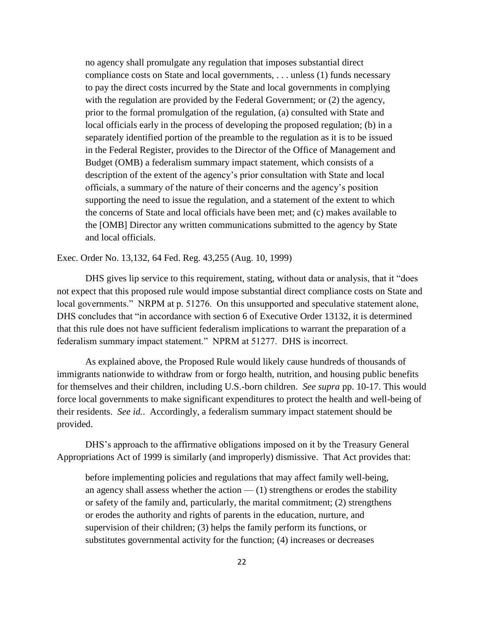no agency shall promulgate any regulation that imposes substantial direct compliance costs on State and local governments, . . . unless (1) funds necessary to pay the direct costs incurred by the State and local governments in complying with the regulation are provided by the Federal Government; or  $(2)$  the agency, prior to the formal promulgation of the regulation, (a) consulted with State and local officials early in the process of developing the proposed regulation; (b) in a separately identified portion of the preamble to the regulation as it is to be issued in the Federal Register, provides to the Director of the Office of Management and Budget (OMB) a federalism summary impact statement, which consists of a description of the extent of the agency's prior consultation with State and local officials, a summary of the nature of their concerns and the agency's position supporting the need to issue the regulation, and a statement of the extent to which the concerns of State and local officials have been met; and (c) makes available to the [OMB] Director any written communications submitted to the agency by State and local officials.

Exec. Order No. 13,132, 64 Fed. Reg. 43,255 (Aug. 10, 1999)

DHS gives lip service to this requirement, stating, without data or analysis, that it "does not expect that this proposed rule would impose substantial direct compliance costs on State and local governments." NRPM at p. 51276. On this unsupported and speculative statement alone, DHS concludes that "in accordance with section 6 of Executive Order 13132, it is determined that this rule does not have sufficient federalism implications to warrant the preparation of a federalism summary impact statement." NPRM at 51277. DHS is incorrect.

As explained above, the Proposed Rule would likely cause hundreds of thousands of immigrants nationwide to withdraw from or forgo health, nutrition, and housing public benefits for themselves and their children, including U.S.-born children. *See supra* pp. 10-17. This would force local governments to make significant expenditures to protect the health and well-being of their residents. *See id.*. Accordingly, a federalism summary impact statement should be provided.

DHS's approach to the affirmative obligations imposed on it by the Treasury General Appropriations Act of 1999 is similarly (and improperly) dismissive. That Act provides that:

before implementing policies and regulations that may affect family well-being, an agency shall assess whether the action  $-$  (1) strengthens or erodes the stability or safety of the family and, particularly, the marital commitment; (2) strengthens or erodes the authority and rights of parents in the education, nurture, and supervision of their children; (3) helps the family perform its functions, or substitutes governmental activity for the function; (4) increases or decreases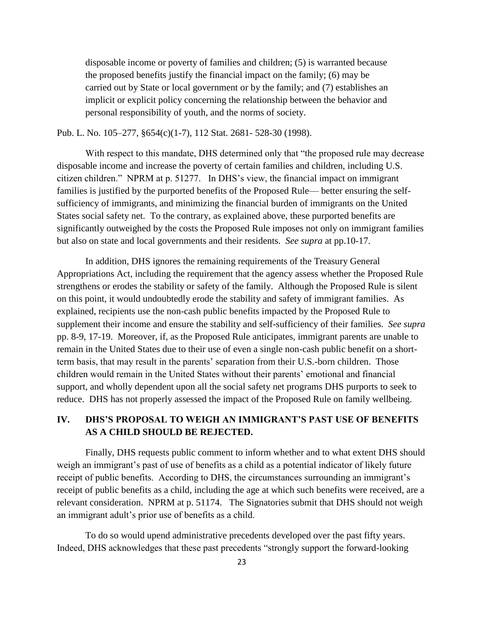disposable income or poverty of families and children; (5) is warranted because the proposed benefits justify the financial impact on the family; (6) may be carried out by State or local government or by the family; and (7) establishes an implicit or explicit policy concerning the relationship between the behavior and personal responsibility of youth, and the norms of society.

Pub. L. No. 105–277, §654(c)(1-7), 112 Stat. 2681- 528-30 (1998).

With respect to this mandate, DHS determined only that "the proposed rule may decrease disposable income and increase the poverty of certain families and children, including U.S. citizen children." NPRM at p. 51277. In DHS's view, the financial impact on immigrant families is justified by the purported benefits of the Proposed Rule— better ensuring the selfsufficiency of immigrants, and minimizing the financial burden of immigrants on the United States social safety net. To the contrary, as explained above, these purported benefits are significantly outweighed by the costs the Proposed Rule imposes not only on immigrant families but also on state and local governments and their residents. *See supra* at pp.10-17.

In addition, DHS ignores the remaining requirements of the Treasury General Appropriations Act, including the requirement that the agency assess whether the Proposed Rule strengthens or erodes the stability or safety of the family. Although the Proposed Rule is silent on this point, it would undoubtedly erode the stability and safety of immigrant families. As explained, recipients use the non-cash public benefits impacted by the Proposed Rule to supplement their income and ensure the stability and self-sufficiency of their families. *See supra* pp. 8-9, 17-19. Moreover, if, as the Proposed Rule anticipates, immigrant parents are unable to remain in the United States due to their use of even a single non-cash public benefit on a shortterm basis, that may result in the parents' separation from their U.S.-born children. Those children would remain in the United States without their parents' emotional and financial support, and wholly dependent upon all the social safety net programs DHS purports to seek to reduce. DHS has not properly assessed the impact of the Proposed Rule on family wellbeing.

# **IV. DHS'S PROPOSAL TO WEIGH AN IMMIGRANT'S PAST USE OF BENEFITS AS A CHILD SHOULD BE REJECTED.**

Finally, DHS requests public comment to inform whether and to what extent DHS should weigh an immigrant's past of use of benefits as a child as a potential indicator of likely future receipt of public benefits. According to DHS, the circumstances surrounding an immigrant's receipt of public benefits as a child, including the age at which such benefits were received, are a relevant consideration. NPRM at p. 51174. The Signatories submit that DHS should not weigh an immigrant adult's prior use of benefits as a child.

To do so would upend administrative precedents developed over the past fifty years. Indeed, DHS acknowledges that these past precedents "strongly support the forward-looking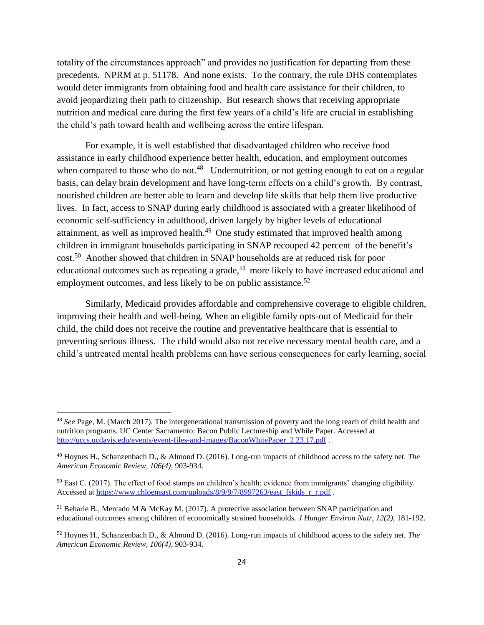totality of the circumstances approach" and provides no justification for departing from these precedents. NPRM at p. 51178. And none exists. To the contrary, the rule DHS contemplates would deter immigrants from obtaining food and health care assistance for their children, to avoid jeopardizing their path to citizenship. But research shows that receiving appropriate nutrition and medical care during the first few years of a child's life are crucial in establishing the child's path toward health and wellbeing across the entire lifespan.

For example, it is well established that disadvantaged children who receive food assistance in early childhood experience better health, education, and employment outcomes when compared to those who do not.<sup>48</sup> Undernutrition, or not getting enough to eat on a regular basis, can delay brain development and have long-term effects on a child's growth. By contrast, nourished children are better able to learn and develop life skills that help them live productive lives. In fact, access to SNAP during early childhood is associated with a greater likelihood of economic self-sufficiency in adulthood, driven largely by higher levels of educational attainment, as well as improved health.<sup>49</sup> One study estimated that improved health among children in immigrant households participating in SNAP recouped 42 percent of the benefit's cost.<sup>50</sup> Another showed that children in SNAP households are at reduced risk for poor educational outcomes such as repeating a grade,<sup>51</sup> more likely to have increased educational and employment outcomes, and less likely to be on public assistance.<sup>52</sup>

Similarly, Medicaid provides affordable and comprehensive coverage to eligible children, improving their health and well-being. When an eligible family opts-out of Medicaid for their child, the child does not receive the routine and preventative healthcare that is essential to preventing serious illness. The child would also not receive necessary mental health care, and a child's untreated mental health problems can have serious consequences for early learning, social

<sup>48</sup> *See* Page, M. (March 2017). The intergenerational transmission of poverty and the long reach of child health and nutrition programs. UC Center Sacramento: Bacon Public Lectureship and While Paper. Accessed at [http://uccs.ucdavis.edu/events/event-files-and-images/BaconWhitePaper\\_2.23.17.pdf](http://uccs.ucdavis.edu/events/event-files-and-images/BaconWhitePaper_2.23.17.pdf)

<sup>49</sup> Hoynes H., Schanzenbach D., & Almond D. (2016). Long-run impacts of childhood access to the safety net. *The American Economic Review, 106(4)*, 903-934.

 $50$  East C. (2017). The effect of food stamps on children's health: evidence from immigrants' changing eligibility. Accessed at [https://www.chloeneast.com/uploads/8/9/9/7/8997263/east\\_fskids\\_r\\_r.pdf](https://www.chloeneast.com/uploads/8/9/9/7/8997263/east_fskids_r_r.pdf) .

 $<sup>51</sup>$  Beharie B., Mercado M & McKay M. (2017). A protective association between SNAP participation and</sup> educational outcomes among children of economically strained households. *J Hunger Environ Nutr, 12(2),* 181-192.

<sup>52</sup> Hoynes H., Schanzenbach D., & Almond D. (2016). Long-run impacts of childhood access to the safety net. *The American Economic Review, 106(4)*, 903-934.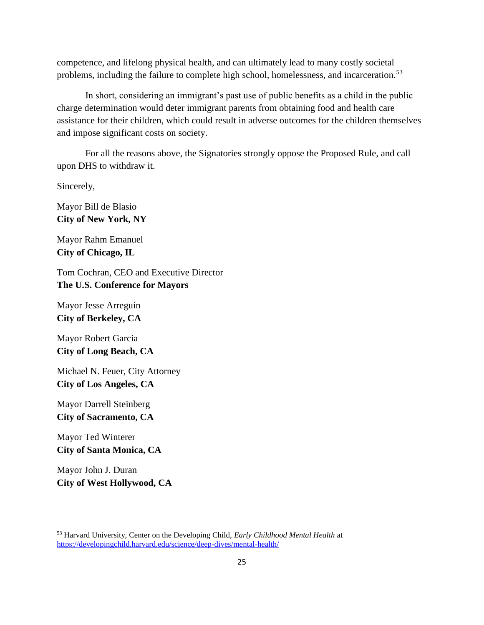competence, and lifelong physical health, and can ultimately lead to many costly societal problems, including the failure to complete high school, homelessness, and incarceration.<sup>53</sup>

In short, considering an immigrant's past use of public benefits as a child in the public charge determination would deter immigrant parents from obtaining food and health care assistance for their children, which could result in adverse outcomes for the children themselves and impose significant costs on society.

For all the reasons above, the Signatories strongly oppose the Proposed Rule, and call upon DHS to withdraw it.

Sincerely,

Mayor Bill de Blasio **City of New York, NY**

Mayor Rahm Emanuel **City of Chicago, IL**

Tom Cochran, CEO and Executive Director **The U.S. Conference for Mayors**

Mayor Jesse Arreguín **City of Berkeley, CA**

Mayor Robert Garcia **City of Long Beach, CA**

Michael N. Feuer, City Attorney **City of Los Angeles, CA**

Mayor Darrell Steinberg **City of Sacramento, CA**

Mayor Ted Winterer **City of Santa Monica, CA**

Mayor John J. Duran **City of West Hollywood, CA**

<sup>53</sup> Harvard University, Center on the Developing Child, *Early Childhood Mental Health* at <https://developingchild.harvard.edu/science/deep-dives/mental-health/>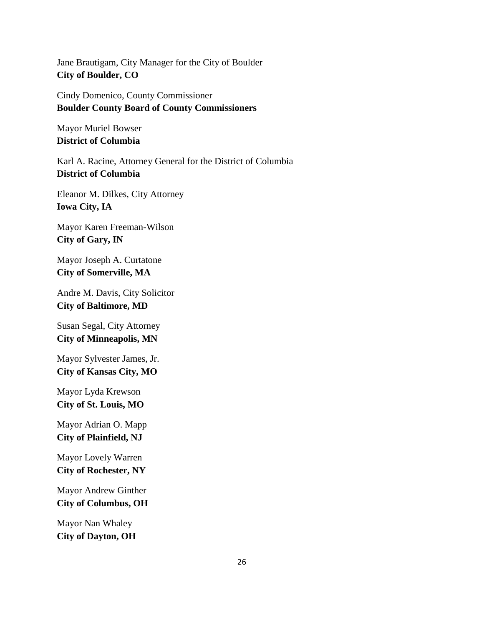Jane Brautigam, City Manager for the City of Boulder **City of Boulder, CO** 

Cindy Domenico, County Commissioner **Boulder County Board of County Commissioners**

Mayor Muriel Bowser **District of Columbia**

Karl A. Racine, Attorney General for the District of Columbia **District of Columbia**

Eleanor M. Dilkes, City Attorney **Iowa City, IA**

Mayor Karen Freeman-Wilson **City of Gary, IN**

Mayor Joseph A. Curtatone **City of Somerville, MA**

Andre M. Davis, City Solicitor **City of Baltimore, MD**

Susan Segal, City Attorney **City of Minneapolis, MN**

Mayor Sylvester James, Jr. **City of Kansas City, MO** 

Mayor Lyda Krewson **City of St. Louis, MO**

Mayor Adrian O. Mapp **City of Plainfield, NJ**

Mayor Lovely Warren **City of Rochester, NY**

Mayor Andrew Ginther **City of Columbus, OH**

Mayor Nan Whaley **City of Dayton, OH**